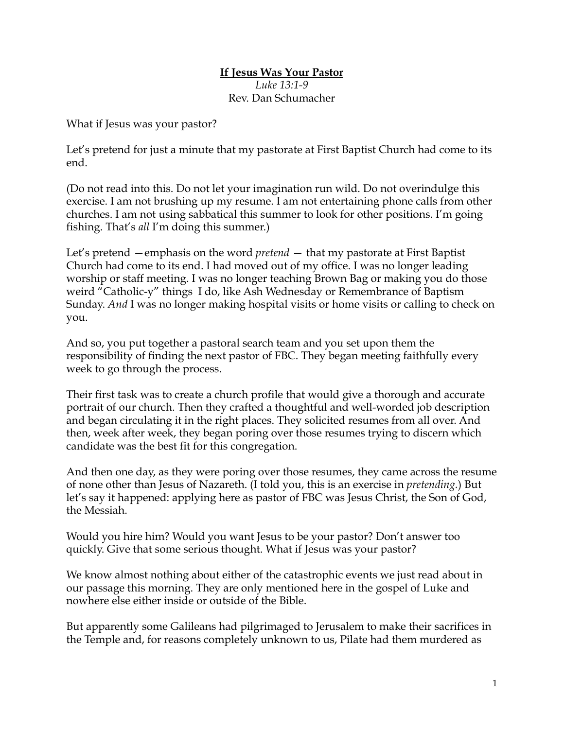## **If Jesus Was Your Pastor** *Luke 13:1-9* Rev. Dan Schumacher

What if Jesus was your pastor?

Let's pretend for just a minute that my pastorate at First Baptist Church had come to its end.

(Do not read into this. Do not let your imagination run wild. Do not overindulge this exercise. I am not brushing up my resume. I am not entertaining phone calls from other churches. I am not using sabbatical this summer to look for other positions. I'm going fishing. That's *all* I'm doing this summer.)

Let's pretend —emphasis on the word *pretend* — that my pastorate at First Baptist Church had come to its end. I had moved out of my office. I was no longer leading worship or staff meeting. I was no longer teaching Brown Bag or making you do those weird "Catholic-y" things I do, like Ash Wednesday or Remembrance of Baptism Sunday. *And* I was no longer making hospital visits or home visits or calling to check on you.

And so, you put together a pastoral search team and you set upon them the responsibility of finding the next pastor of FBC. They began meeting faithfully every week to go through the process.

Their first task was to create a church profile that would give a thorough and accurate portrait of our church. Then they crafted a thoughtful and well-worded job description and began circulating it in the right places. They solicited resumes from all over. And then, week after week, they began poring over those resumes trying to discern which candidate was the best fit for this congregation.

And then one day, as they were poring over those resumes, they came across the resume of none other than Jesus of Nazareth. (I told you, this is an exercise in *pretending.*) But let's say it happened: applying here as pastor of FBC was Jesus Christ, the Son of God, the Messiah.

Would you hire him? Would you want Jesus to be your pastor? Don't answer too quickly. Give that some serious thought. What if Jesus was your pastor?

We know almost nothing about either of the catastrophic events we just read about in our passage this morning. They are only mentioned here in the gospel of Luke and nowhere else either inside or outside of the Bible.

But apparently some Galileans had pilgrimaged to Jerusalem to make their sacrifices in the Temple and, for reasons completely unknown to us, Pilate had them murdered as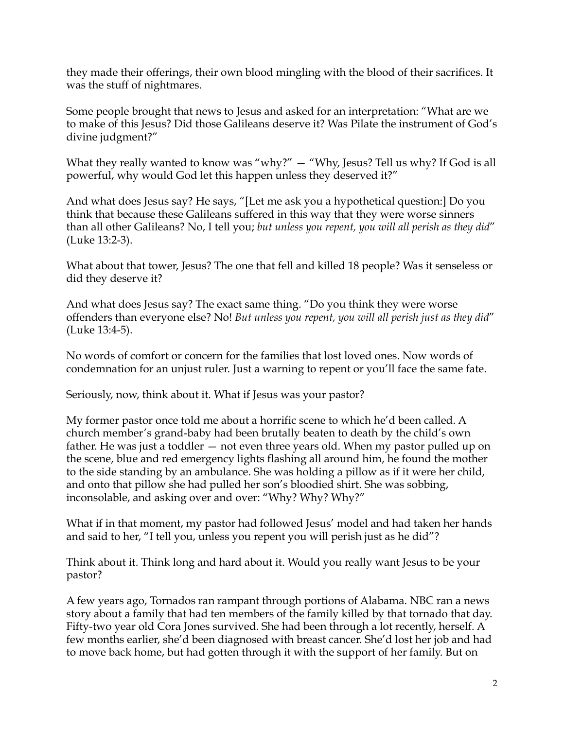they made their offerings, their own blood mingling with the blood of their sacrifices. It was the stuff of nightmares.

Some people brought that news to Jesus and asked for an interpretation: "What are we to make of this Jesus? Did those Galileans deserve it? Was Pilate the instrument of God's divine judgment?"

What they really wanted to know was "why?"  $-$  "Why, Jesus? Tell us why? If God is all powerful, why would God let this happen unless they deserved it?"

And what does Jesus say? He says, "[Let me ask you a hypothetical question:] Do you think that because these Galileans suffered in this way that they were worse sinners than all other Galileans? No, I tell you; *but unless you repent, you will all perish as they did*" (Luke 13:2-3).

What about that tower, Jesus? The one that fell and killed 18 people? Was it senseless or did they deserve it?

And what does Jesus say? The exact same thing. "Do you think they were worse offenders than everyone else? No! *But unless you repent, you will all perish just as they did*" (Luke 13:4-5).

No words of comfort or concern for the families that lost loved ones. Now words of condemnation for an unjust ruler. Just a warning to repent or you'll face the same fate.

Seriously, now, think about it. What if Jesus was your pastor?

My former pastor once told me about a horrific scene to which he'd been called. A church member's grand-baby had been brutally beaten to death by the child's own father. He was just a toddler — not even three years old. When my pastor pulled up on the scene, blue and red emergency lights flashing all around him, he found the mother to the side standing by an ambulance. She was holding a pillow as if it were her child, and onto that pillow she had pulled her son's bloodied shirt. She was sobbing, inconsolable, and asking over and over: "Why? Why? Why?"

What if in that moment, my pastor had followed Jesus' model and had taken her hands and said to her, "I tell you, unless you repent you will perish just as he did"?

Think about it. Think long and hard about it. Would you really want Jesus to be your pastor?

A few years ago, Tornados ran rampant through portions of Alabama. NBC ran a news story about a family that had ten members of the family killed by that tornado that day. Fifty-two year old Cora Jones survived. She had been through a lot recently, herself. A few months earlier, she'd been diagnosed with breast cancer. She'd lost her job and had to move back home, but had gotten through it with the support of her family. But on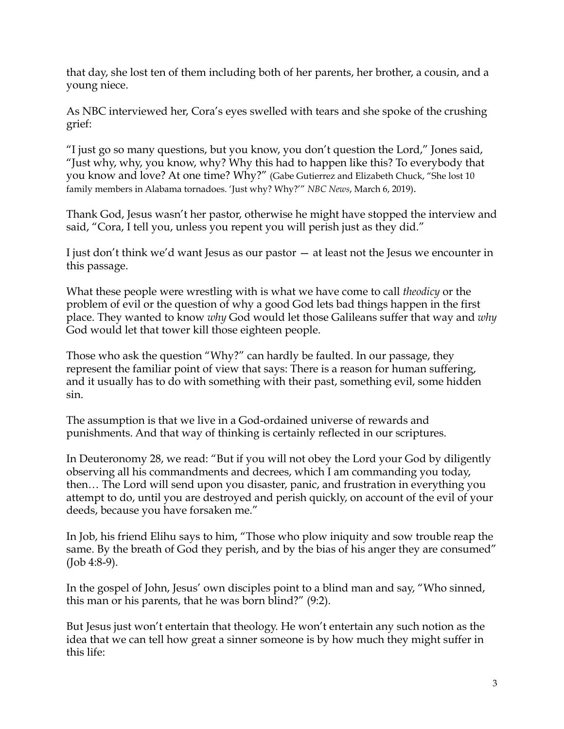that day, she lost ten of them including both of her parents, her brother, a cousin, and a young niece.

As NBC interviewed her, Cora's eyes swelled with tears and she spoke of the crushing grief:

"I just go so many questions, but you know, you don't question the Lord," Jones said, "Just why, why, you know, why? Why this had to happen like this? To everybody that you know and love? At one time? Why?" (Gabe Gutierrez and Elizabeth Chuck, "She lost 10 family members in Alabama tornadoes. 'Just why? Why?'" *NBC News*, March 6, 2019).

Thank God, Jesus wasn't her pastor, otherwise he might have stopped the interview and said, "Cora, I tell you, unless you repent you will perish just as they did."

I just don't think we'd want Jesus as our pastor — at least not the Jesus we encounter in this passage.

What these people were wrestling with is what we have come to call *theodicy* or the problem of evil or the question of why a good God lets bad things happen in the first place. They wanted to know *why* God would let those Galileans suffer that way and *why* God would let that tower kill those eighteen people.

Those who ask the question "Why?" can hardly be faulted. In our passage, they represent the familiar point of view that says: There is a reason for human suffering, and it usually has to do with something with their past, something evil, some hidden sin.

The assumption is that we live in a God-ordained universe of rewards and punishments. And that way of thinking is certainly reflected in our scriptures.

In Deuteronomy 28, we read: "But if you will not obey the Lord your God by diligently observing all his commandments and decrees, which I am commanding you today, then… The Lord will send upon you disaster, panic, and frustration in everything you attempt to do, until you are destroyed and perish quickly, on account of the evil of your deeds, because you have forsaken me."

In Job, his friend Elihu says to him, "Those who plow iniquity and sow trouble reap the same. By the breath of God they perish, and by the bias of his anger they are consumed" (Job 4:8-9).

In the gospel of John, Jesus' own disciples point to a blind man and say, "Who sinned, this man or his parents, that he was born blind?" (9:2).

But Jesus just won't entertain that theology. He won't entertain any such notion as the idea that we can tell how great a sinner someone is by how much they might suffer in this life: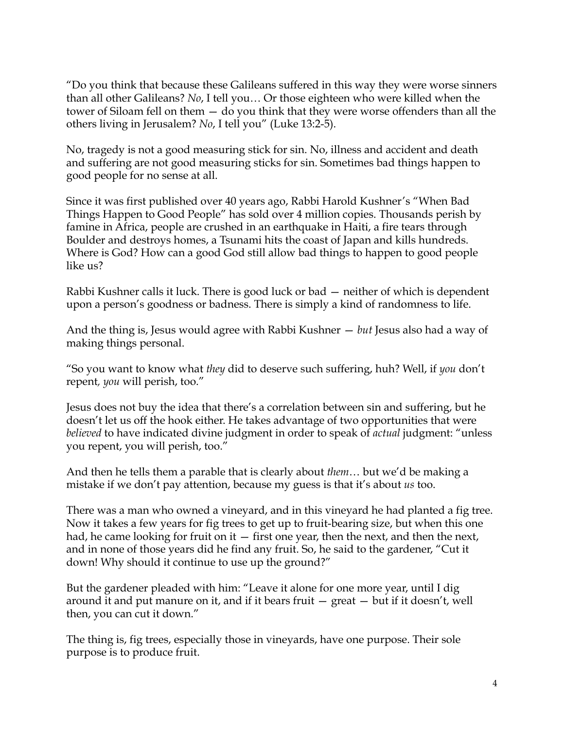"Do you think that because these Galileans suffered in this way they were worse sinners than all other Galileans? *No*, I tell you… Or those eighteen who were killed when the tower of Siloam fell on them — do you think that they were worse offenders than all the others living in Jerusalem? *No*, I tell you" (Luke 13:2-5).

No, tragedy is not a good measuring stick for sin. No, illness and accident and death and suffering are not good measuring sticks for sin. Sometimes bad things happen to good people for no sense at all.

Since it was first published over 40 years ago, Rabbi Harold Kushner's "When Bad Things Happen to Good People" has sold over 4 million copies. Thousands perish by famine in Africa, people are crushed in an earthquake in Haiti, a fire tears through Boulder and destroys homes, a Tsunami hits the coast of Japan and kills hundreds. Where is God? How can a good God still allow bad things to happen to good people like us?

Rabbi Kushner calls it luck. There is good luck or bad — neither of which is dependent upon a person's goodness or badness. There is simply a kind of randomness to life.

And the thing is, Jesus would agree with Rabbi Kushner — *but* Jesus also had a way of making things personal.

"So you want to know what *they* did to deserve such suffering, huh? Well, if *you* don't repent*, you* will perish, too."

Jesus does not buy the idea that there's a correlation between sin and suffering, but he doesn't let us off the hook either. He takes advantage of two opportunities that were *believed* to have indicated divine judgment in order to speak of *actual* judgment: "unless you repent, you will perish, too."

And then he tells them a parable that is clearly about *them*… but we'd be making a mistake if we don't pay attention, because my guess is that it's about *us* too.

There was a man who owned a vineyard, and in this vineyard he had planted a fig tree. Now it takes a few years for fig trees to get up to fruit-bearing size, but when this one had, he came looking for fruit on it  $-$  first one year, then the next, and then the next, and in none of those years did he find any fruit. So, he said to the gardener, "Cut it down! Why should it continue to use up the ground?"

But the gardener pleaded with him: "Leave it alone for one more year, until I dig around it and put manure on it, and if it bears fruit  $-$  great  $-$  but if it doesn't, well then, you can cut it down."

The thing is, fig trees, especially those in vineyards, have one purpose. Their sole purpose is to produce fruit.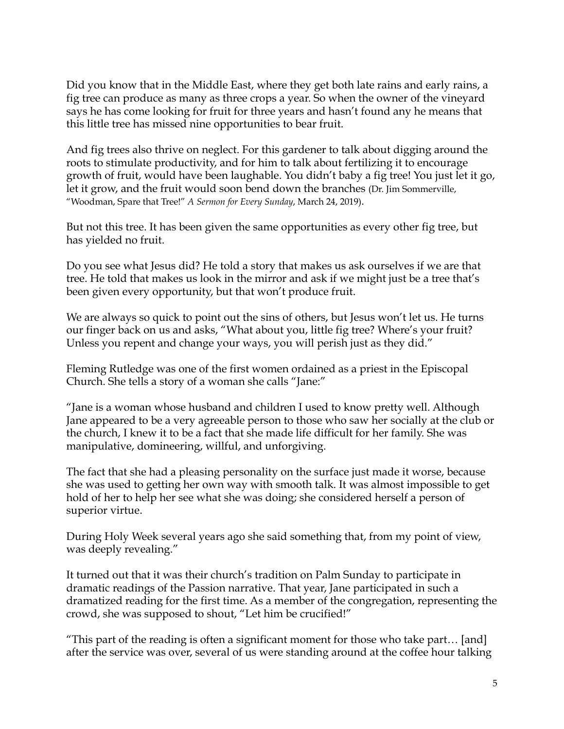Did you know that in the Middle East, where they get both late rains and early rains, a fig tree can produce as many as three crops a year. So when the owner of the vineyard says he has come looking for fruit for three years and hasn't found any he means that this little tree has missed nine opportunities to bear fruit.

And fig trees also thrive on neglect. For this gardener to talk about digging around the roots to stimulate productivity, and for him to talk about fertilizing it to encourage growth of fruit, would have been laughable. You didn't baby a fig tree! You just let it go, let it grow, and the fruit would soon bend down the branches (Dr. Jim Sommerville, "Woodman, Spare that Tree!" *A Sermon for Every Sunday*, March 24, 2019).

But not this tree. It has been given the same opportunities as every other fig tree, but has yielded no fruit.

Do you see what Jesus did? He told a story that makes us ask ourselves if we are that tree. He told that makes us look in the mirror and ask if we might just be a tree that's been given every opportunity, but that won't produce fruit.

We are always so quick to point out the sins of others, but Jesus won't let us. He turns our finger back on us and asks, "What about you, little fig tree? Where's your fruit? Unless you repent and change your ways, you will perish just as they did."

Fleming Rutledge was one of the first women ordained as a priest in the Episcopal Church. She tells a story of a woman she calls "Jane:"

"Jane is a woman whose husband and children I used to know pretty well. Although Jane appeared to be a very agreeable person to those who saw her socially at the club or the church, I knew it to be a fact that she made life difficult for her family. She was manipulative, domineering, willful, and unforgiving.

The fact that she had a pleasing personality on the surface just made it worse, because she was used to getting her own way with smooth talk. It was almost impossible to get hold of her to help her see what she was doing; she considered herself a person of superior virtue.

During Holy Week several years ago she said something that, from my point of view, was deeply revealing."

It turned out that it was their church's tradition on Palm Sunday to participate in dramatic readings of the Passion narrative. That year, Jane participated in such a dramatized reading for the first time. As a member of the congregation, representing the crowd, she was supposed to shout, "Let him be crucified!"

"This part of the reading is often a significant moment for those who take part… [and] after the service was over, several of us were standing around at the coffee hour talking